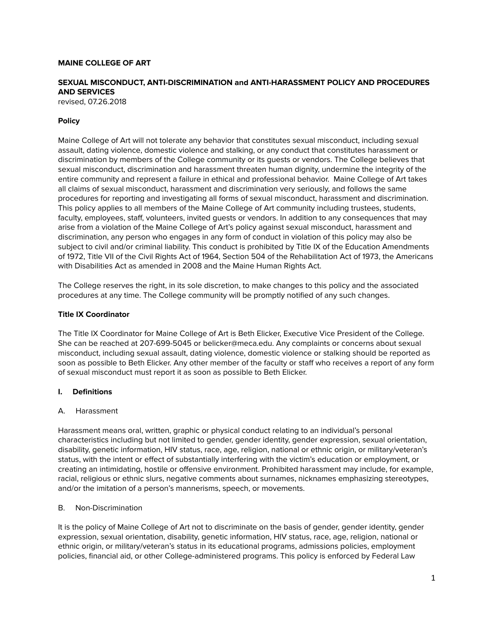## **MAINE COLLEGE OF ART**

# **SEXUAL MISCONDUCT, ANTI-DISCRIMINATION and ANTI-HARASSMENT POLICY AND PROCEDURES AND SERVICES**

revised, 07.26.2018

## **Policy**

Maine College of Art will not tolerate any behavior that constitutes sexual misconduct, including sexual assault, dating violence, domestic violence and stalking, or any conduct that constitutes harassment or discrimination by members of the College community or its guests or vendors. The College believes that sexual misconduct, discrimination and harassment threaten human dignity, undermine the integrity of the entire community and represent a failure in ethical and professional behavior. Maine College of Art takes all claims of sexual misconduct, harassment and discrimination very seriously, and follows the same procedures for reporting and investigating all forms of sexual misconduct, harassment and discrimination. This policy applies to all members of the Maine College of Art community including trustees, students, faculty, employees, staff, volunteers, invited guests or vendors. In addition to any consequences that may arise from a violation of the Maine College of Art's policy against sexual misconduct, harassment and discrimination, any person who engages in any form of conduct in violation of this policy may also be subject to civil and/or criminal liability. This conduct is prohibited by Title IX of the Education Amendments of 1972, Title VII of the Civil Rights Act of 1964, Section 504 of the Rehabilitation Act of 1973, the Americans with Disabilities Act as amended in 2008 and the Maine Human Rights Act.

The College reserves the right, in its sole discretion, to make changes to this policy and the associated procedures at any time. The College community will be promptly notified of any such changes.

### **Title IX Coordinator**

The Title IX Coordinator for Maine College of Art is Beth Elicker, Executive Vice President of the College. She can be reached at 207-699-5045 or belicker@meca.edu. Any complaints or concerns about sexual misconduct, including sexual assault, dating violence, domestic violence or stalking should be reported as soon as possible to Beth Elicker. Any other member of the faculty or staff who receives a report of any form of sexual misconduct must report it as soon as possible to Beth Elicker.

### **I. Definitions**

### A. Harassment

Harassment means oral, written, graphic or physical conduct relating to an individual's personal characteristics including but not limited to gender, gender identity, gender expression, sexual orientation, disability, genetic information, HIV status, race, age, religion, national or ethnic origin, or military/veteran's status, with the intent or effect of substantially interfering with the victim's education or employment, or creating an intimidating, hostile or offensive environment. Prohibited harassment may include, for example, racial, religious or ethnic slurs, negative comments about surnames, nicknames emphasizing stereotypes, and/or the imitation of a person's mannerisms, speech, or movements.

### B. Non-Discrimination

It is the policy of Maine College of Art not to discriminate on the basis of gender, gender identity, gender expression, sexual orientation, disability, genetic information, HIV status, race, age, religion, national or ethnic origin, or military/veteran's status in its educational programs, admissions policies, employment policies, financial aid, or other College-administered programs. This policy is enforced by Federal Law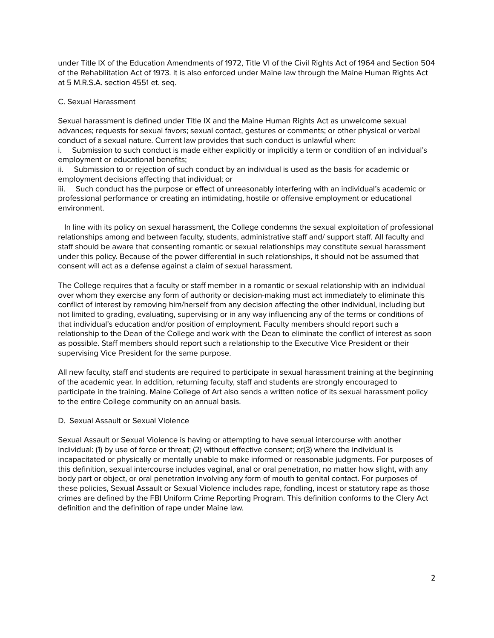under Title IX of the Education Amendments of 1972, Title VI of the Civil Rights Act of 1964 and Section 504 of the Rehabilitation Act of 1973. It is also enforced under Maine law through the Maine Human Rights Act at 5 M.R.S.A. section 4551 et. seq.

## C. Sexual Harassment

Sexual harassment is defined under Title IX and the Maine Human Rights Act as unwelcome sexual advances; requests for sexual favors; sexual contact, gestures or comments; or other physical or verbal conduct of a sexual nature. Current law provides that such conduct is unlawful when:

i. Submission to such conduct is made either explicitly or implicitly a term or condition of an individual's employment or educational benefits;

ii. Submission to or rejection of such conduct by an individual is used as the basis for academic or employment decisions affecting that individual; or

iii. Such conduct has the purpose or effect of unreasonably interfering with an individual's academic or professional performance or creating an intimidating, hostile or offensive employment or educational environment.

In line with its policy on sexual harassment, the College condemns the sexual exploitation of professional relationships among and between faculty, students, administrative staff and/ support staff. All faculty and staff should be aware that consenting romantic or sexual relationships may constitute sexual harassment under this policy. Because of the power differential in such relationships, it should not be assumed that consent will act as a defense against a claim of sexual harassment.

The College requires that a faculty or staff member in a romantic or sexual relationship with an individual over whom they exercise any form of authority or decision-making must act immediately to eliminate this conflict of interest by removing him/herself from any decision affecting the other individual, including but not limited to grading, evaluating, supervising or in any way influencing any of the terms or conditions of that individual's education and/or position of employment. Faculty members should report such a relationship to the Dean of the College and work with the Dean to eliminate the conflict of interest as soon as possible. Staff members should report such a relationship to the Executive Vice President or their supervising Vice President for the same purpose.

All new faculty, staff and students are required to participate in sexual harassment training at the beginning of the academic year. In addition, returning faculty, staff and students are strongly encouraged to participate in the training. Maine College of Art also sends a written notice of its sexual harassment policy to the entire College community on an annual basis.

## D. Sexual Assault or Sexual Violence

Sexual Assault or Sexual Violence is having or attempting to have sexual intercourse with another individual: (1) by use of force or threat; (2) without effective consent; or(3) where the individual is incapacitated or physically or mentally unable to make informed or reasonable judgments. For purposes of this definition, sexual intercourse includes vaginal, anal or oral penetration, no matter how slight, with any body part or object, or oral penetration involving any form of mouth to genital contact. For purposes of these policies, Sexual Assault or Sexual Violence includes rape, fondling, incest or statutory rape as those crimes are defined by the FBI Uniform Crime Reporting Program. This definition conforms to the Clery Act definition and the definition of rape under Maine law.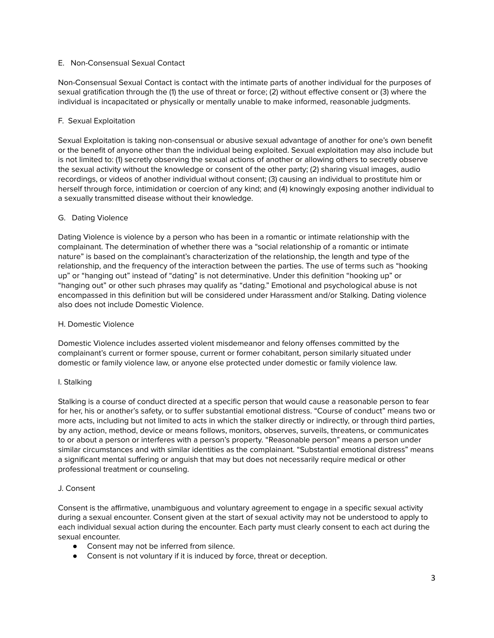## E. Non-Consensual Sexual Contact

Non-Consensual Sexual Contact is contact with the intimate parts of another individual for the purposes of sexual gratification through the (1) the use of threat or force; (2) without effective consent or (3) where the individual is incapacitated or physically or mentally unable to make informed, reasonable judgments.

## F. Sexual Exploitation

Sexual Exploitation is taking non-consensual or abusive sexual advantage of another for one's own benefit or the benefit of anyone other than the individual being exploited. Sexual exploitation may also include but is not limited to: (1) secretly observing the sexual actions of another or allowing others to secretly observe the sexual activity without the knowledge or consent of the other party; (2) sharing visual images, audio recordings, or videos of another individual without consent; (3) causing an individual to prostitute him or herself through force, intimidation or coercion of any kind; and (4) knowingly exposing another individual to a sexually transmitted disease without their knowledge.

# G. Dating Violence

Dating Violence is violence by a person who has been in a romantic or intimate relationship with the complainant. The determination of whether there was a "social relationship of a romantic or intimate nature" is based on the complainant's characterization of the relationship, the length and type of the relationship, and the frequency of the interaction between the parties. The use of terms such as "hooking up" or "hanging out" instead of "dating" is not determinative. Under this definition "hooking up" or "hanging out" or other such phrases may qualify as "dating." Emotional and psychological abuse is not encompassed in this definition but will be considered under Harassment and/or Stalking. Dating violence also does not include Domestic Violence.

## H. Domestic Violence

Domestic Violence includes asserted violent misdemeanor and felony offenses committed by the complainant's current or former spouse, current or former cohabitant, person similarly situated under domestic or family violence law, or anyone else protected under domestic or family violence law.

## I. Stalking

Stalking is a course of conduct directed at a specific person that would cause a reasonable person to fear for her, his or another's safety, or to suffer substantial emotional distress. "Course of conduct" means two or more acts, including but not limited to acts in which the stalker directly or indirectly, or through third parties, by any action, method, device or means follows, monitors, observes, surveils, threatens, or communicates to or about a person or interferes with a person's property. "Reasonable person" means a person under similar circumstances and with similar identities as the complainant. "Substantial emotional distress" means a significant mental suffering or anguish that may but does not necessarily require medical or other professional treatment or counseling.

## J. Consent

Consent is the affirmative, unambiguous and voluntary agreement to engage in a specific sexual activity during a sexual encounter. Consent given at the start of sexual activity may not be understood to apply to each individual sexual action during the encounter. Each party must clearly consent to each act during the sexual encounter.

- Consent may not be inferred from silence.
- Consent is not voluntary if it is induced by force, threat or deception.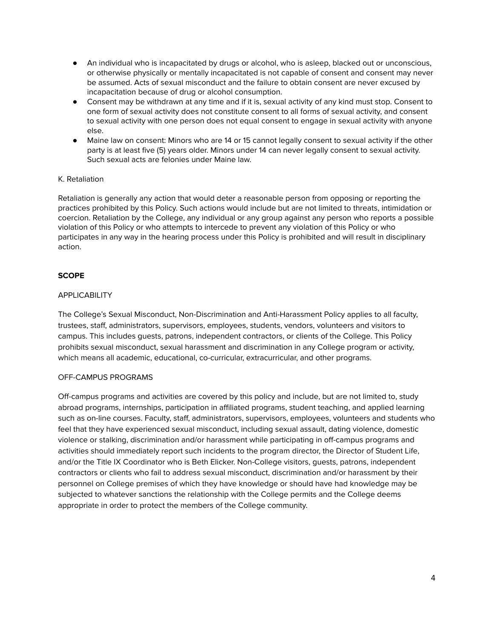- An individual who is incapacitated by drugs or alcohol, who is asleep, blacked out or unconscious, or otherwise physically or mentally incapacitated is not capable of consent and consent may never be assumed. Acts of sexual misconduct and the failure to obtain consent are never excused by incapacitation because of drug or alcohol consumption.
- Consent may be withdrawn at any time and if it is, sexual activity of any kind must stop. Consent to one form of sexual activity does not constitute consent to all forms of sexual activity, and consent to sexual activity with one person does not equal consent to engage in sexual activity with anyone else.
- Maine law on consent: Minors who are 14 or 15 cannot legally consent to sexual activity if the other party is at least five (5) years older. Minors under 14 can never legally consent to sexual activity. Such sexual acts are felonies under Maine law.

# K. Retaliation

Retaliation is generally any action that would deter a reasonable person from opposing or reporting the practices prohibited by this Policy. Such actions would include but are not limited to threats, intimidation or coercion. Retaliation by the College, any individual or any group against any person who reports a possible violation of this Policy or who attempts to intercede to prevent any violation of this Policy or who participates in any way in the hearing process under this Policy is prohibited and will result in disciplinary action.

# **SCOPE**

# **APPLICABILITY**

The College's Sexual Misconduct, Non-Discrimination and Anti-Harassment Policy applies to all faculty, trustees, staff, administrators, supervisors, employees, students, vendors, volunteers and visitors to campus. This includes guests, patrons, independent contractors, or clients of the College. This Policy prohibits sexual misconduct, sexual harassment and discrimination in any College program or activity, which means all academic, educational, co-curricular, extracurricular, and other programs.

## OFF-CAMPUS PROGRAMS

Off-campus programs and activities are covered by this policy and include, but are not limited to, study abroad programs, internships, participation in affiliated programs, student teaching, and applied learning such as on-line courses. Faculty, staff, administrators, supervisors, employees, volunteers and students who feel that they have experienced sexual misconduct, including sexual assault, dating violence, domestic violence or stalking, discrimination and/or harassment while participating in off-campus programs and activities should immediately report such incidents to the program director, the Director of Student Life, and/or the Title IX Coordinator who is Beth Elicker. Non-College visitors, guests, patrons, independent contractors or clients who fail to address sexual misconduct, discrimination and/or harassment by their personnel on College premises of which they have knowledge or should have had knowledge may be subjected to whatever sanctions the relationship with the College permits and the College deems appropriate in order to protect the members of the College community.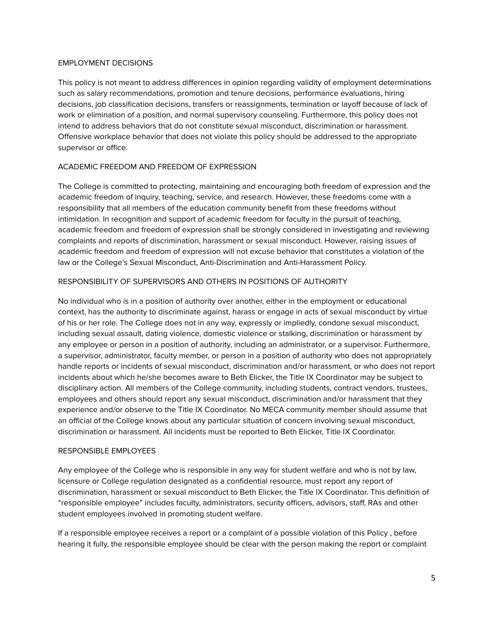### EMPLOYMENT DECISIONS

This policy is not meant to address differences in opinion regarding validity of employment determinations such as salary recommendations, promotion and tenure decisions, performance evaluations, hiring decisions, job classification decisions, transfers or reassignments, termination or layoff because of lack of work or elimination of a position, and normal supervisory counseling. Furthermore, this policy does not intend to address behaviors that do not constitute sexual misconduct, discrimination or harassment. Offensive workplace behavior that does not violate this policy should be addressed to the appropriate supervisor or office.

# ACADEMIC FREEDOM AND FREEDOM OF EXPRESSION

The College is committed to protecting, maintaining and encouraging both freedom of expression and the academic freedom of inquiry, teaching, service, and research. However, these freedoms come with a responsibility that all members of the education community benefit from these freedoms without intimidation. In recognition and support of academic freedom for faculty in the pursuit of teaching, academic freedom and freedom of expression shall be strongly considered in investigating and reviewing complaints and reports of discrimination, harassment or sexual misconduct. However, raising issues of academic freedom and freedom of expression will not excuse behavior that constitutes a violation of the law or the College's Sexual Misconduct, Anti-Discrimination and Anti-Harassment Policy.

## RESPONSIBILITY OF SUPERVISORS AND OTHERS IN POSITIONS OF AUTHORITY

No individual who is in a position of authority over another, either in the employment or educational context, has the authority to discriminate against, harass or engage in acts of sexual misconduct by virtue of his or her role. The College does not in any way, expressly or impliedly, condone sexual misconduct, including sexual assault, dating violence, domestic violence or stalking, discrimination or harassment by any employee or person in a position of authority, including an administrator, or a supervisor. Furthermore, a supervisor, administrator, faculty member, or person in a position of authority who does not appropriately handle reports or incidents of sexual misconduct, discrimination and/or harassment, or who does not report incidents about which he/she becomes aware to Beth Elicker, the Title IX Coordinator may be subject to disciplinary action. All members of the College community, including students, contract vendors, trustees, employees and others should report any sexual misconduct, discrimination and/or harassment that they experience and/or observe to the Title IX Coordinator. No MECA community member should assume that an official of the College knows about any particular situation of concern involving sexual misconduct, discrimination or harassment. All incidents must be reported to Beth Elicker, Title IX Coordinator.

## RESPONSIBLE EMPLOYEES

Any employee of the College who is responsible in any way for student welfare and who is not by law, licensure or College regulation designated as a confidential resource, must report any report of discrimination, harassment or sexual misconduct to Beth Elicker, the Title IX Coordinator. This definition of "responsible employee" includes faculty, administrators, security officers, advisors, staff, RAs and other student employees involved in promoting student welfare.

If a responsible employee receives a report or a complaint of a possible violation of this Policy , before hearing it fully, the responsible employee should be clear with the person making the report or complaint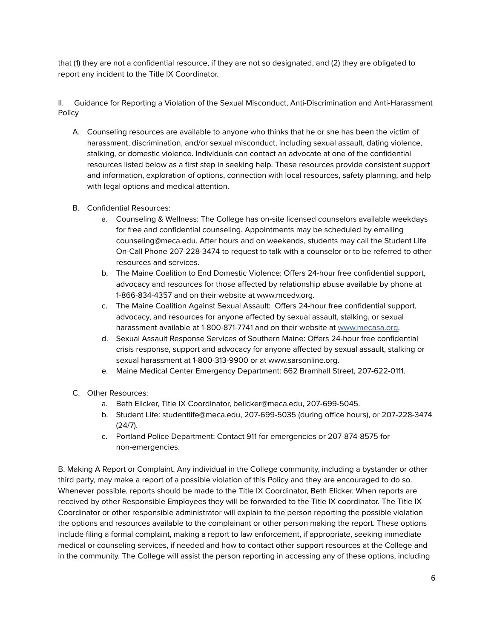that (1) they are not a confidential resource, if they are not so designated, and (2) they are obligated to report any incident to the Title IX Coordinator.

II. Guidance for Reporting a Violation of the Sexual Misconduct, Anti-Discrimination and Anti-Harassment Policy

- A. Counseling resources are available to anyone who thinks that he or she has been the victim of harassment, discrimination, and/or sexual misconduct, including sexual assault, dating violence, stalking, or domestic violence. Individuals can contact an advocate at one of the confidential resources listed below as a first step in seeking help. These resources provide consistent support and information, exploration of options, connection with local resources, safety planning, and help with legal options and medical attention.
- B. Confidential Resources:
	- a. Counseling & Wellness: The College has on-site licensed counselors available weekdays for free and confidential counseling. Appointments may be scheduled by emailing counseling@meca.edu. After hours and on weekends, students may call the Student Life On-Call Phone 207-228-3474 to request to talk with a counselor or to be referred to other resources and services.
	- b. The Maine Coalition to End Domestic Violence: Offers 24-hour free confidential support, advocacy and resources for those affected by relationship abuse available by phone at 1-866-834-4357 and on their website at www.mcedv.org.
	- c. The Maine Coalition Against Sexual Assault: Offers 24-hour free confidential support, advocacy, and resources for anyone affected by sexual assault, stalking, or sexual harassment available at 1-800-871-7741 and on their website at [www.mecasa.org.](http://www.mecasa.org)
	- d. Sexual Assault Response Services of Southern Maine: Offers 24-hour free confidential crisis response, support and advocacy for anyone affected by sexual assault, stalking or sexual harassment at 1-800-313-9900 or at www.sarsonline.org.
	- e. Maine Medical Center Emergency Department: 662 Bramhall Street, 207-622-0111.
- C. Other Resources:
	- a. Beth Elicker, Title IX Coordinator, belicker@meca.edu, 207-699-5045.
	- b. Student Life: studentlife@meca.edu, 207-699-5035 (during office hours), or 207-228-3474 (24/7).
	- c. Portland Police Department: Contact 911 for emergencies or 207-874-8575 for non-emergencies.

B. Making A Report or Complaint. Any individual in the College community, including a bystander or other third party, may make a report of a possible violation of this Policy and they are encouraged to do so. Whenever possible, reports should be made to the Title IX Coordinator, Beth Elicker. When reports are received by other Responsible Employees they will be forwarded to the Title IX coordinator. The Title IX Coordinator or other responsible administrator will explain to the person reporting the possible violation the options and resources available to the complainant or other person making the report. These options include filing a formal complaint, making a report to law enforcement, if appropriate, seeking immediate medical or counseling services, if needed and how to contact other support resources at the College and in the community. The College will assist the person reporting in accessing any of these options, including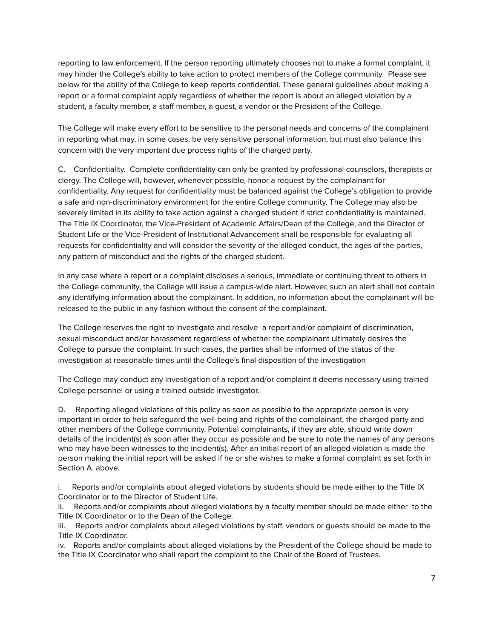reporting to law enforcement. If the person reporting ultimately chooses not to make a formal complaint, it may hinder the College's ability to take action to protect members of the College community. Please see below for the ability of the College to keep reports confidential. These general guidelines about making a report or a formal complaint apply regardless of whether the report is about an alleged violation by a student, a faculty member, a staff member, a guest, a vendor or the President of the College.

The College will make every effort to be sensitive to the personal needs and concerns of the complainant in reporting what may, in some cases, be very sensitive personal information, but must also balance this concern with the very important due process rights of the charged party.

C. Confidentiality. Complete confidentiality can only be granted by professional counselors, therapists or clergy. The College will, however, whenever possible, honor a request by the complainant for confidentiality. Any request for confidentiality must be balanced against the College's obligation to provide a safe and non-discriminatory environment for the entire College community. The College may also be severely limited in its ability to take action against a charged student if strict confidentiality is maintained. The Title IX Coordinator, the Vice-President of Academic Affairs/Dean of the College, and the Director of Student Life or the Vice-President of Institutional Advancement shall be responsible for evaluating all requests for confidentiality and will consider the severity of the alleged conduct, the ages of the parties, any pattern of misconduct and the rights of the charged student.

In any case where a report or a complaint discloses a serious, immediate or continuing threat to others in the College community, the College will issue a campus-wide alert. However, such an alert shall not contain any identifying information about the complainant. In addition, no information about the complainant will be released to the public in any fashion without the consent of the complainant.

The College reserves the right to investigate and resolve a report and/or complaint of discrimination, sexual misconduct and/or harassment regardless of whether the complainant ultimately desires the College to pursue the complaint. In such cases, the parties shall be informed of the status of the investigation at reasonable times until the College's final disposition of the investigation

The College may conduct any investigation of a report and/or complaint it deems necessary using trained College personnel or using a trained outside investigator.

D. Reporting alleged violations of this policy as soon as possible to the appropriate person is very important in order to help safeguard the well-being and rights of the complainant, the charged party and other members of the College community. Potential complainants, if they are able, should write down details of the incident(s) as soon after they occur as possible and be sure to note the names of any persons who may have been witnesses to the incident(s). After an initial report of an alleged violation is made the person making the initial report will be asked if he or she wishes to make a formal complaint as set forth in Section A. above.

i. Reports and/or complaints about alleged violations by students should be made either to the Title IX Coordinator or to the Director of Student Life.

ii. Reports and/or complaints about alleged violations by a faculty member should be made either to the Title IX Coordinator or to the Dean of the College.

iii. Reports and/or complaints about alleged violations by staff, vendors or guests should be made to the Title IX Coordinator.

iv. Reports and/or complaints about alleged violations by the President of the College should be made to the Title IX Coordinator who shall report the complaint to the Chair of the Board of Trustees.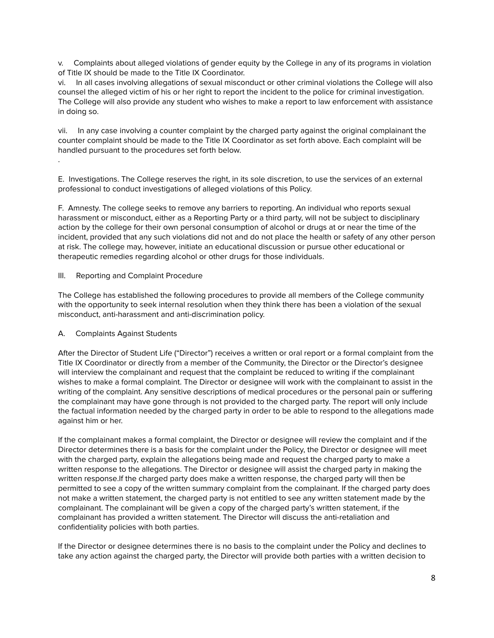v. Complaints about alleged violations of gender equity by the College in any of its programs in violation of Title IX should be made to the Title IX Coordinator.

vi. In all cases involving allegations of sexual misconduct or other criminal violations the College will also counsel the alleged victim of his or her right to report the incident to the police for criminal investigation. The College will also provide any student who wishes to make a report to law enforcement with assistance in doing so.

vii. In any case involving a counter complaint by the charged party against the original complainant the counter complaint should be made to the Title IX Coordinator as set forth above. Each complaint will be handled pursuant to the procedures set forth below.

E. Investigations. The College reserves the right, in its sole discretion, to use the services of an external professional to conduct investigations of alleged violations of this Policy.

F. Amnesty. The college seeks to remove any barriers to reporting. An individual who reports sexual harassment or misconduct, either as a Reporting Party or a third party, will not be subject to disciplinary action by the college for their own personal consumption of alcohol or drugs at or near the time of the incident, provided that any such violations did not and do not place the health or safety of any other person at risk. The college may, however, initiate an educational discussion or pursue other educational or therapeutic remedies regarding alcohol or other drugs for those individuals.

## III. Reporting and Complaint Procedure

The College has established the following procedures to provide all members of the College community with the opportunity to seek internal resolution when they think there has been a violation of the sexual misconduct, anti-harassment and anti-discrimination policy.

### A. Complaints Against Students

.

After the Director of Student Life ("Director") receives a written or oral report or a formal complaint from the Title IX Coordinator or directly from a member of the Community, the Director or the Director's designee will interview the complainant and request that the complaint be reduced to writing if the complainant wishes to make a formal complaint. The Director or designee will work with the complainant to assist in the writing of the complaint. Any sensitive descriptions of medical procedures or the personal pain or suffering the complainant may have gone through is not provided to the charged party. The report will only include the factual information needed by the charged party in order to be able to respond to the allegations made against him or her.

If the complainant makes a formal complaint, the Director or designee will review the complaint and if the Director determines there is a basis for the complaint under the Policy, the Director or designee will meet with the charged party, explain the allegations being made and request the charged party to make a written response to the allegations. The Director or designee will assist the charged party in making the written response.If the charged party does make a written response, the charged party will then be permitted to see a copy of the written summary complaint from the complainant. If the charged party does not make a written statement, the charged party is not entitled to see any written statement made by the complainant. The complainant will be given a copy of the charged party's written statement, if the complainant has provided a written statement. The Director will discuss the anti-retaliation and confidentiality policies with both parties.

If the Director or designee determines there is no basis to the complaint under the Policy and declines to take any action against the charged party, the Director will provide both parties with a written decision to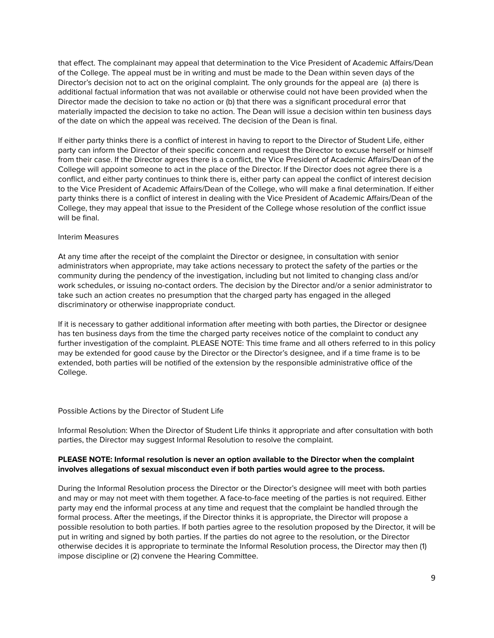that effect. The complainant may appeal that determination to the Vice President of Academic Affairs/Dean of the College. The appeal must be in writing and must be made to the Dean within seven days of the Director's decision not to act on the original complaint. The only grounds for the appeal are (a) there is additional factual information that was not available or otherwise could not have been provided when the Director made the decision to take no action or (b) that there was a significant procedural error that materially impacted the decision to take no action. The Dean will issue a decision within ten business days of the date on which the appeal was received. The decision of the Dean is final.

If either party thinks there is a conflict of interest in having to report to the Director of Student Life, either party can inform the Director of their specific concern and request the Director to excuse herself or himself from their case. If the Director agrees there is a conflict, the Vice President of Academic Affairs/Dean of the College will appoint someone to act in the place of the Director. If the Director does not agree there is a conflict, and either party continues to think there is, either party can appeal the conflict of interest decision to the Vice President of Academic Affairs/Dean of the College, who will make a final determination. If either party thinks there is a conflict of interest in dealing with the Vice President of Academic Affairs/Dean of the College, they may appeal that issue to the President of the College whose resolution of the conflict issue will be final.

### Interim Measures

At any time after the receipt of the complaint the Director or designee, in consultation with senior administrators when appropriate, may take actions necessary to protect the safety of the parties or the community during the pendency of the investigation, including but not limited to changing class and/or work schedules, or issuing no-contact orders. The decision by the Director and/or a senior administrator to take such an action creates no presumption that the charged party has engaged in the alleged discriminatory or otherwise inappropriate conduct.

If it is necessary to gather additional information after meeting with both parties, the Director or designee has ten business days from the time the charged party receives notice of the complaint to conduct any further investigation of the complaint. PLEASE NOTE: This time frame and all others referred to in this policy may be extended for good cause by the Director or the Director's designee, and if a time frame is to be extended, both parties will be notified of the extension by the responsible administrative office of the College.

### Possible Actions by the Director of Student Life

Informal Resolution: When the Director of Student Life thinks it appropriate and after consultation with both parties, the Director may suggest Informal Resolution to resolve the complaint.

## **PLEASE NOTE: Informal resolution is never an option available to the Director when the complaint involves allegations of sexual misconduct even if both parties would agree to the process.**

During the Informal Resolution process the Director or the Director's designee will meet with both parties and may or may not meet with them together. A face-to-face meeting of the parties is not required. Either party may end the informal process at any time and request that the complaint be handled through the formal process. After the meetings, if the Director thinks it is appropriate, the Director will propose a possible resolution to both parties. If both parties agree to the resolution proposed by the Director, it will be put in writing and signed by both parties. If the parties do not agree to the resolution, or the Director otherwise decides it is appropriate to terminate the Informal Resolution process, the Director may then (1) impose discipline or (2) convene the Hearing Committee.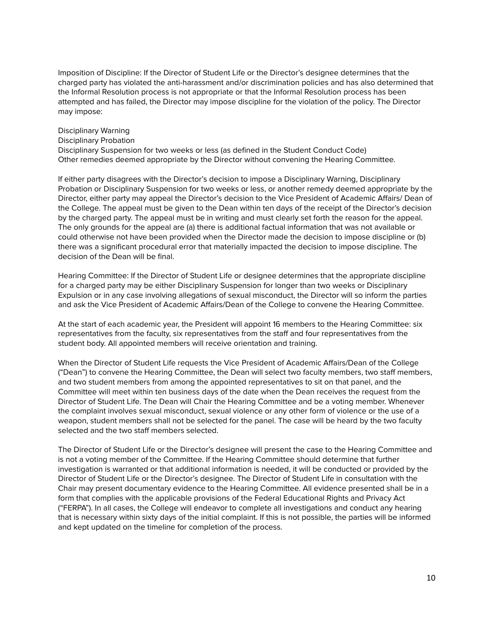Imposition of Discipline: If the Director of Student Life or the Director's designee determines that the charged party has violated the anti-harassment and/or discrimination policies and has also determined that the Informal Resolution process is not appropriate or that the Informal Resolution process has been attempted and has failed, the Director may impose discipline for the violation of the policy. The Director may impose:

# Disciplinary Warning Disciplinary Probation Disciplinary Suspension for two weeks or less (as defined in the Student Conduct Code) Other remedies deemed appropriate by the Director without convening the Hearing Committee.

If either party disagrees with the Director's decision to impose a Disciplinary Warning, Disciplinary Probation or Disciplinary Suspension for two weeks or less, or another remedy deemed appropriate by the Director, either party may appeal the Director's decision to the Vice President of Academic Affairs/ Dean of the College. The appeal must be given to the Dean within ten days of the receipt of the Director's decision by the charged party. The appeal must be in writing and must clearly set forth the reason for the appeal. The only grounds for the appeal are (a) there is additional factual information that was not available or could otherwise not have been provided when the Director made the decision to impose discipline or (b) there was a significant procedural error that materially impacted the decision to impose discipline. The decision of the Dean will be final.

Hearing Committee: If the Director of Student Life or designee determines that the appropriate discipline for a charged party may be either Disciplinary Suspension for longer than two weeks or Disciplinary Expulsion or in any case involving allegations of sexual misconduct, the Director will so inform the parties and ask the Vice President of Academic Affairs/Dean of the College to convene the Hearing Committee.

At the start of each academic year, the President will appoint 16 members to the Hearing Committee: six representatives from the faculty, six representatives from the staff and four representatives from the student body. All appointed members will receive orientation and training.

When the Director of Student Life requests the Vice President of Academic Affairs/Dean of the College ("Dean") to convene the Hearing Committee, the Dean will select two faculty members, two staff members, and two student members from among the appointed representatives to sit on that panel, and the Committee will meet within ten business days of the date when the Dean receives the request from the Director of Student Life. The Dean will Chair the Hearing Committee and be a voting member. Whenever the complaint involves sexual misconduct, sexual violence or any other form of violence or the use of a weapon, student members shall not be selected for the panel. The case will be heard by the two faculty selected and the two staff members selected.

The Director of Student Life or the Director's designee will present the case to the Hearing Committee and is not a voting member of the Committee. If the Hearing Committee should determine that further investigation is warranted or that additional information is needed, it will be conducted or provided by the Director of Student Life or the Director's designee. The Director of Student Life in consultation with the Chair may present documentary evidence to the Hearing Committee. All evidence presented shall be in a form that complies with the applicable provisions of the Federal Educational Rights and Privacy Act ("FERPA"). In all cases, the College will endeavor to complete all investigations and conduct any hearing that is necessary within sixty days of the initial complaint. If this is not possible, the parties will be informed and kept updated on the timeline for completion of the process.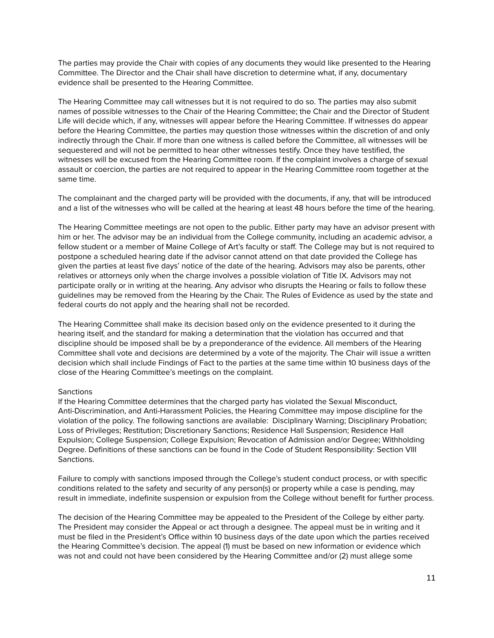The parties may provide the Chair with copies of any documents they would like presented to the Hearing Committee. The Director and the Chair shall have discretion to determine what, if any, documentary evidence shall be presented to the Hearing Committee.

The Hearing Committee may call witnesses but it is not required to do so. The parties may also submit names of possible witnesses to the Chair of the Hearing Committee; the Chair and the Director of Student Life will decide which, if any, witnesses will appear before the Hearing Committee. If witnesses do appear before the Hearing Committee, the parties may question those witnesses within the discretion of and only indirectly through the Chair. If more than one witness is called before the Committee, all witnesses will be sequestered and will not be permitted to hear other witnesses testify. Once they have testified, the witnesses will be excused from the Hearing Committee room. If the complaint involves a charge of sexual assault or coercion, the parties are not required to appear in the Hearing Committee room together at the same time.

The complainant and the charged party will be provided with the documents, if any, that will be introduced and a list of the witnesses who will be called at the hearing at least 48 hours before the time of the hearing.

The Hearing Committee meetings are not open to the public. Either party may have an advisor present with him or her. The advisor may be an individual from the College community, including an academic advisor, a fellow student or a member of Maine College of Art's faculty or staff. The College may but is not required to postpone a scheduled hearing date if the advisor cannot attend on that date provided the College has given the parties at least five days' notice of the date of the hearing. Advisors may also be parents, other relatives or attorneys only when the charge involves a possible violation of Title IX. Advisors may not participate orally or in writing at the hearing. Any advisor who disrupts the Hearing or fails to follow these guidelines may be removed from the Hearing by the Chair. The Rules of Evidence as used by the state and federal courts do not apply and the hearing shall not be recorded.

The Hearing Committee shall make its decision based only on the evidence presented to it during the hearing itself, and the standard for making a determination that the violation has occurred and that discipline should be imposed shall be by a preponderance of the evidence. All members of the Hearing Committee shall vote and decisions are determined by a vote of the majority. The Chair will issue a written decision which shall include Findings of Fact to the parties at the same time within 10 business days of the close of the Hearing Committee's meetings on the complaint.

### **Sanctions**

If the Hearing Committee determines that the charged party has violated the Sexual Misconduct, Anti-Discrimination, and Anti-Harassment Policies, the Hearing Committee may impose discipline for the violation of the policy. The following sanctions are available: Disciplinary Warning; Disciplinary Probation; Loss of Privileges; Restitution; Discretionary Sanctions; Residence Hall Suspension; Residence Hall Expulsion; College Suspension; College Expulsion; Revocation of Admission and/or Degree; Withholding Degree. Definitions of these sanctions can be found in the Code of Student Responsibility: Section VIII Sanctions.

Failure to comply with sanctions imposed through the College's student conduct process, or with specific conditions related to the safety and security of any person(s) or property while a case is pending, may result in immediate, indefinite suspension or expulsion from the College without benefit for further process.

The decision of the Hearing Committee may be appealed to the President of the College by either party. The President may consider the Appeal or act through a designee. The appeal must be in writing and it must be filed in the President's Office within 10 business days of the date upon which the parties received the Hearing Committee's decision. The appeal (1) must be based on new information or evidence which was not and could not have been considered by the Hearing Committee and/or (2) must allege some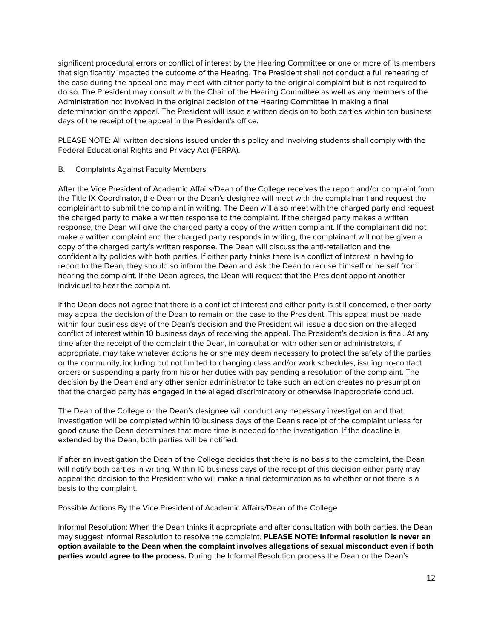significant procedural errors or conflict of interest by the Hearing Committee or one or more of its members that significantly impacted the outcome of the Hearing. The President shall not conduct a full rehearing of the case during the appeal and may meet with either party to the original complaint but is not required to do so. The President may consult with the Chair of the Hearing Committee as well as any members of the Administration not involved in the original decision of the Hearing Committee in making a final determination on the appeal. The President will issue a written decision to both parties within ten business days of the receipt of the appeal in the President's office.

PLEASE NOTE: All written decisions issued under this policy and involving students shall comply with the Federal Educational Rights and Privacy Act (FERPA).

## B. Complaints Against Faculty Members

After the Vice President of Academic Affairs/Dean of the College receives the report and/or complaint from the Title IX Coordinator, the Dean or the Dean's designee will meet with the complainant and request the complainant to submit the complaint in writing. The Dean will also meet with the charged party and request the charged party to make a written response to the complaint. If the charged party makes a written response, the Dean will give the charged party a copy of the written complaint. If the complainant did not make a written complaint and the charged party responds in writing, the complainant will not be given a copy of the charged party's written response. The Dean will discuss the anti-retaliation and the confidentiality policies with both parties. If either party thinks there is a conflict of interest in having to report to the Dean, they should so inform the Dean and ask the Dean to recuse himself or herself from hearing the complaint. If the Dean agrees, the Dean will request that the President appoint another individual to hear the complaint.

If the Dean does not agree that there is a conflict of interest and either party is still concerned, either party may appeal the decision of the Dean to remain on the case to the President. This appeal must be made within four business days of the Dean's decision and the President will issue a decision on the alleged conflict of interest within 10 business days of receiving the appeal. The President's decision is final. At any time after the receipt of the complaint the Dean, in consultation with other senior administrators, if appropriate, may take whatever actions he or she may deem necessary to protect the safety of the parties or the community, including but not limited to changing class and/or work schedules, issuing no-contact orders or suspending a party from his or her duties with pay pending a resolution of the complaint. The decision by the Dean and any other senior administrator to take such an action creates no presumption that the charged party has engaged in the alleged discriminatory or otherwise inappropriate conduct.

The Dean of the College or the Dean's designee will conduct any necessary investigation and that investigation will be completed within 10 business days of the Dean's receipt of the complaint unless for good cause the Dean determines that more time is needed for the investigation. If the deadline is extended by the Dean, both parties will be notified.

If after an investigation the Dean of the College decides that there is no basis to the complaint, the Dean will notify both parties in writing. Within 10 business days of the receipt of this decision either party may appeal the decision to the President who will make a final determination as to whether or not there is a basis to the complaint.

Possible Actions By the Vice President of Academic Affairs/Dean of the College

Informal Resolution: When the Dean thinks it appropriate and after consultation with both parties, the Dean may suggest Informal Resolution to resolve the complaint. **PLEASE NOTE: Informal resolution is never an option available to the Dean when the complaint involves allegations of sexual misconduct even if both parties would agree to the process.** During the Informal Resolution process the Dean or the Dean's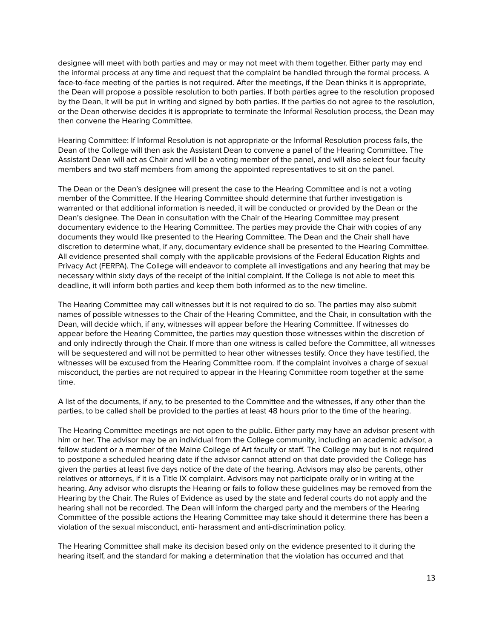designee will meet with both parties and may or may not meet with them together. Either party may end the informal process at any time and request that the complaint be handled through the formal process. A face-to-face meeting of the parties is not required. After the meetings, if the Dean thinks it is appropriate, the Dean will propose a possible resolution to both parties. If both parties agree to the resolution proposed by the Dean, it will be put in writing and signed by both parties. If the parties do not agree to the resolution, or the Dean otherwise decides it is appropriate to terminate the Informal Resolution process, the Dean may then convene the Hearing Committee.

Hearing Committee: If Informal Resolution is not appropriate or the Informal Resolution process fails, the Dean of the College will then ask the Assistant Dean to convene a panel of the Hearing Committee. The Assistant Dean will act as Chair and will be a voting member of the panel, and will also select four faculty members and two staff members from among the appointed representatives to sit on the panel.

The Dean or the Dean's designee will present the case to the Hearing Committee and is not a voting member of the Committee. If the Hearing Committee should determine that further investigation is warranted or that additional information is needed, it will be conducted or provided by the Dean or the Dean's designee. The Dean in consultation with the Chair of the Hearing Committee may present documentary evidence to the Hearing Committee. The parties may provide the Chair with copies of any documents they would like presented to the Hearing Committee. The Dean and the Chair shall have discretion to determine what, if any, documentary evidence shall be presented to the Hearing Committee. All evidence presented shall comply with the applicable provisions of the Federal Education Rights and Privacy Act (FERPA). The College will endeavor to complete all investigations and any hearing that may be necessary within sixty days of the receipt of the initial complaint. If the College is not able to meet this deadline, it will inform both parties and keep them both informed as to the new timeline.

The Hearing Committee may call witnesses but it is not required to do so. The parties may also submit names of possible witnesses to the Chair of the Hearing Committee, and the Chair, in consultation with the Dean, will decide which, if any, witnesses will appear before the Hearing Committee. If witnesses do appear before the Hearing Committee, the parties may question those witnesses within the discretion of and only indirectly through the Chair. If more than one witness is called before the Committee, all witnesses will be sequestered and will not be permitted to hear other witnesses testify. Once they have testified, the witnesses will be excused from the Hearing Committee room. If the complaint involves a charge of sexual misconduct, the parties are not required to appear in the Hearing Committee room together at the same time.

A list of the documents, if any, to be presented to the Committee and the witnesses, if any other than the parties, to be called shall be provided to the parties at least 48 hours prior to the time of the hearing.

The Hearing Committee meetings are not open to the public. Either party may have an advisor present with him or her. The advisor may be an individual from the College community, including an academic advisor, a fellow student or a member of the Maine College of Art faculty or staff. The College may but is not required to postpone a scheduled hearing date if the advisor cannot attend on that date provided the College has given the parties at least five days notice of the date of the hearing. Advisors may also be parents, other relatives or attorneys, if it is a Title IX complaint. Advisors may not participate orally or in writing at the hearing. Any advisor who disrupts the Hearing or fails to follow these guidelines may be removed from the Hearing by the Chair. The Rules of Evidence as used by the state and federal courts do not apply and the hearing shall not be recorded. The Dean will inform the charged party and the members of the Hearing Committee of the possible actions the Hearing Committee may take should it determine there has been a violation of the sexual misconduct, anti- harassment and anti-discrimination policy.

The Hearing Committee shall make its decision based only on the evidence presented to it during the hearing itself, and the standard for making a determination that the violation has occurred and that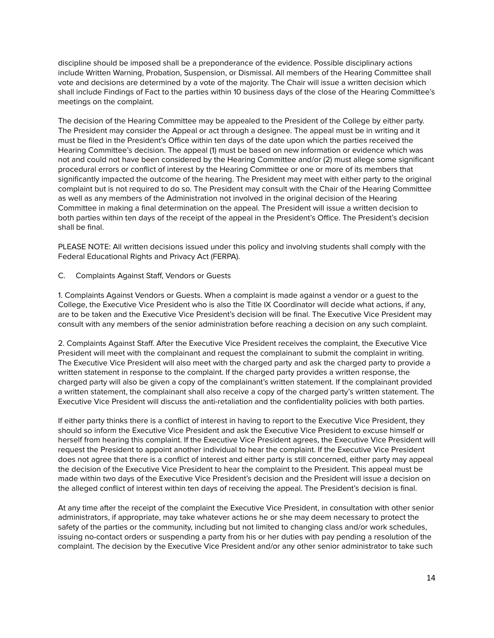discipline should be imposed shall be a preponderance of the evidence. Possible disciplinary actions include Written Warning, Probation, Suspension, or Dismissal. All members of the Hearing Committee shall vote and decisions are determined by a vote of the majority. The Chair will issue a written decision which shall include Findings of Fact to the parties within 10 business days of the close of the Hearing Committee's meetings on the complaint.

The decision of the Hearing Committee may be appealed to the President of the College by either party. The President may consider the Appeal or act through a designee. The appeal must be in writing and it must be filed in the President's Office within ten days of the date upon which the parties received the Hearing Committee's decision. The appeal (1) must be based on new information or evidence which was not and could not have been considered by the Hearing Committee and/or (2) must allege some significant procedural errors or conflict of interest by the Hearing Committee or one or more of its members that significantly impacted the outcome of the hearing. The President may meet with either party to the original complaint but is not required to do so. The President may consult with the Chair of the Hearing Committee as well as any members of the Administration not involved in the original decision of the Hearing Committee in making a final determination on the appeal. The President will issue a written decision to both parties within ten days of the receipt of the appeal in the President's Office. The President's decision shall be final.

PLEASE NOTE: All written decisions issued under this policy and involving students shall comply with the Federal Educational Rights and Privacy Act (FERPA).

## C. Complaints Against Staff, Vendors or Guests

1. Complaints Against Vendors or Guests. When a complaint is made against a vendor or a guest to the College, the Executive Vice President who is also the Title IX Coordinator will decide what actions, if any, are to be taken and the Executive Vice President's decision will be final. The Executive Vice President may consult with any members of the senior administration before reaching a decision on any such complaint.

2. Complaints Against Staff. After the Executive Vice President receives the complaint, the Executive Vice President will meet with the complainant and request the complainant to submit the complaint in writing. The Executive Vice President will also meet with the charged party and ask the charged party to provide a written statement in response to the complaint. If the charged party provides a written response, the charged party will also be given a copy of the complainant's written statement. If the complainant provided a written statement, the complainant shall also receive a copy of the charged party's written statement. The Executive Vice President will discuss the anti-retaliation and the confidentiality policies with both parties.

If either party thinks there is a conflict of interest in having to report to the Executive Vice President, they should so inform the Executive Vice President and ask the Executive Vice President to excuse himself or herself from hearing this complaint. If the Executive Vice President agrees, the Executive Vice President will request the President to appoint another individual to hear the complaint. If the Executive Vice President does not agree that there is a conflict of interest and either party is still concerned, either party may appeal the decision of the Executive Vice President to hear the complaint to the President. This appeal must be made within two days of the Executive Vice President's decision and the President will issue a decision on the alleged conflict of interest within ten days of receiving the appeal. The President's decision is final.

At any time after the receipt of the complaint the Executive Vice President, in consultation with other senior administrators, if appropriate, may take whatever actions he or she may deem necessary to protect the safety of the parties or the community, including but not limited to changing class and/or work schedules, issuing no-contact orders or suspending a party from his or her duties with pay pending a resolution of the complaint. The decision by the Executive Vice President and/or any other senior administrator to take such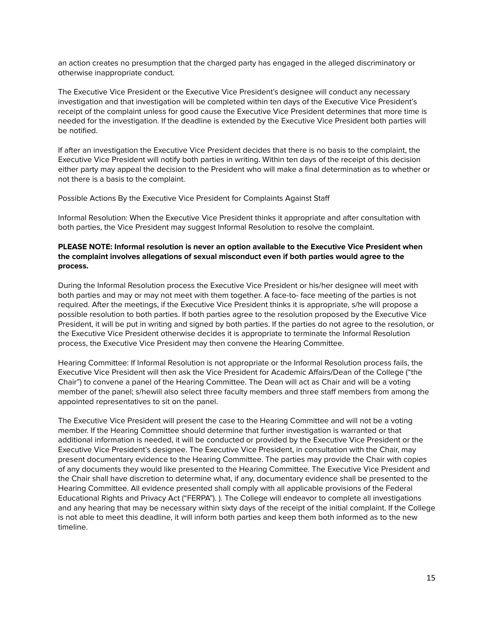an action creates no presumption that the charged party has engaged in the alleged discriminatory or otherwise inappropriate conduct.

The Executive Vice President or the Executive Vice President's designee will conduct any necessary investigation and that investigation will be completed within ten days of the Executive Vice President's receipt of the complaint unless for good cause the Executive Vice President determines that more time is needed for the investigation. If the deadline is extended by the Executive Vice President both parties will be notified.

If after an investigation the Executive Vice President decides that there is no basis to the complaint, the Executive Vice President will notify both parties in writing. Within ten days of the receipt of this decision either party may appeal the decision to the President who will make a final determination as to whether or not there is a basis to the complaint.

Possible Actions By the Executive Vice President for Complaints Against Staff

Informal Resolution: When the Executive Vice President thinks it appropriate and after consultation with both parties, the Vice President may suggest Informal Resolution to resolve the complaint.

## **PLEASE NOTE: Informal resolution is never an option available to the Executive Vice President when the complaint involves allegations of sexual misconduct even if both parties would agree to the process.**

During the Informal Resolution process the Executive Vice President or his/her designee will meet with both parties and may or may not meet with them together. A face-to- face meeting of the parties is not required. After the meetings, if the Executive Vice President thinks it is appropriate, s/he will propose a possible resolution to both parties. If both parties agree to the resolution proposed by the Executive Vice President, it will be put in writing and signed by both parties. If the parties do not agree to the resolution, or the Executive Vice President otherwise decides it is appropriate to terminate the Informal Resolution process, the Executive Vice President may then convene the Hearing Committee.

Hearing Committee: If Informal Resolution is not appropriate or the Informal Resolution process fails, the Executive Vice President will then ask the Vice President for Academic Affairs/Dean of the College ("the Chair") to convene a panel of the Hearing Committee. The Dean will act as Chair and will be a voting member of the panel; s/hewill also select three faculty members and three staff members from among the appointed representatives to sit on the panel.

The Executive Vice President will present the case to the Hearing Committee and will not be a voting member. If the Hearing Committee should determine that further investigation is warranted or that additional information is needed, it will be conducted or provided by the Executive Vice President or the Executive Vice President's designee. The Executive Vice President, in consultation with the Chair, may present documentary evidence to the Hearing Committee. The parties may provide the Chair with copies of any documents they would like presented to the Hearing Committee. The Executive Vice President and the Chair shall have discretion to determine what, if any, documentary evidence shall be presented to the Hearing Committee. All evidence presented shall comply with all applicable provisions of the Federal Educational Rights and Privacy Act ("FERPA"). ). The College will endeavor to complete all investigations and any hearing that may be necessary within sixty days of the receipt of the initial complaint. If the College is not able to meet this deadline, it will inform both parties and keep them both informed as to the new timeline.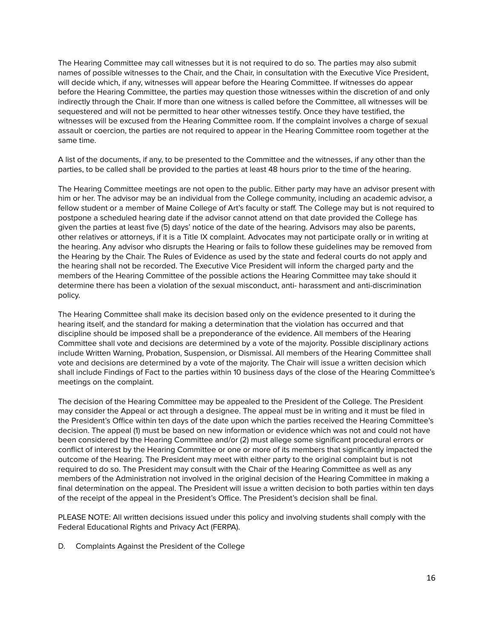The Hearing Committee may call witnesses but it is not required to do so. The parties may also submit names of possible witnesses to the Chair, and the Chair, in consultation with the Executive Vice President, will decide which, if any, witnesses will appear before the Hearing Committee. If witnesses do appear before the Hearing Committee, the parties may question those witnesses within the discretion of and only indirectly through the Chair. If more than one witness is called before the Committee, all witnesses will be sequestered and will not be permitted to hear other witnesses testify. Once they have testified, the witnesses will be excused from the Hearing Committee room. If the complaint involves a charge of sexual assault or coercion, the parties are not required to appear in the Hearing Committee room together at the same time.

A list of the documents, if any, to be presented to the Committee and the witnesses, if any other than the parties, to be called shall be provided to the parties at least 48 hours prior to the time of the hearing.

The Hearing Committee meetings are not open to the public. Either party may have an advisor present with him or her. The advisor may be an individual from the College community, including an academic advisor, a fellow student or a member of Maine College of Art's faculty or staff. The College may but is not required to postpone a scheduled hearing date if the advisor cannot attend on that date provided the College has given the parties at least five (5) days' notice of the date of the hearing. Advisors may also be parents, other relatives or attorneys, if it is a Title IX complaint. Advocates may not participate orally or in writing at the hearing. Any advisor who disrupts the Hearing or fails to follow these guidelines may be removed from the Hearing by the Chair. The Rules of Evidence as used by the state and federal courts do not apply and the hearing shall not be recorded. The Executive Vice President will inform the charged party and the members of the Hearing Committee of the possible actions the Hearing Committee may take should it determine there has been a violation of the sexual misconduct, anti- harassment and anti-discrimination policy.

The Hearing Committee shall make its decision based only on the evidence presented to it during the hearing itself, and the standard for making a determination that the violation has occurred and that discipline should be imposed shall be a preponderance of the evidence. All members of the Hearing Committee shall vote and decisions are determined by a vote of the majority. Possible disciplinary actions include Written Warning, Probation, Suspension, or Dismissal. All members of the Hearing Committee shall vote and decisions are determined by a vote of the majority. The Chair will issue a written decision which shall include Findings of Fact to the parties within 10 business days of the close of the Hearing Committee's meetings on the complaint.

The decision of the Hearing Committee may be appealed to the President of the College. The President may consider the Appeal or act through a designee. The appeal must be in writing and it must be filed in the President's Office within ten days of the date upon which the parties received the Hearing Committee's decision. The appeal (1) must be based on new information or evidence which was not and could not have been considered by the Hearing Committee and/or (2) must allege some significant procedural errors or conflict of interest by the Hearing Committee or one or more of its members that significantly impacted the outcome of the Hearing. The President may meet with either party to the original complaint but is not required to do so. The President may consult with the Chair of the Hearing Committee as well as any members of the Administration not involved in the original decision of the Hearing Committee in making a final determination on the appeal. The President will issue a written decision to both parties within ten days of the receipt of the appeal in the President's Office. The President's decision shall be final.

PLEASE NOTE: All written decisions issued under this policy and involving students shall comply with the Federal Educational Rights and Privacy Act (FERPA).

D. Complaints Against the President of the College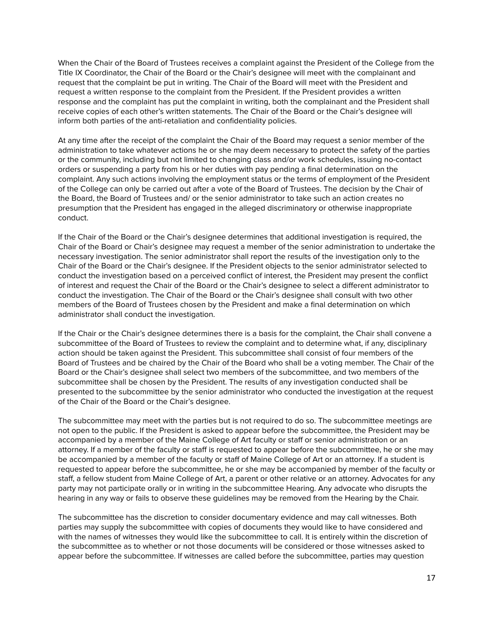When the Chair of the Board of Trustees receives a complaint against the President of the College from the Title IX Coordinator, the Chair of the Board or the Chair's designee will meet with the complainant and request that the complaint be put in writing. The Chair of the Board will meet with the President and request a written response to the complaint from the President. If the President provides a written response and the complaint has put the complaint in writing, both the complainant and the President shall receive copies of each other's written statements. The Chair of the Board or the Chair's designee will inform both parties of the anti-retaliation and confidentiality policies.

At any time after the receipt of the complaint the Chair of the Board may request a senior member of the administration to take whatever actions he or she may deem necessary to protect the safety of the parties or the community, including but not limited to changing class and/or work schedules, issuing no-contact orders or suspending a party from his or her duties with pay pending a final determination on the complaint. Any such actions involving the employment status or the terms of employment of the President of the College can only be carried out after a vote of the Board of Trustees. The decision by the Chair of the Board, the Board of Trustees and/ or the senior administrator to take such an action creates no presumption that the President has engaged in the alleged discriminatory or otherwise inappropriate conduct.

If the Chair of the Board or the Chair's designee determines that additional investigation is required, the Chair of the Board or Chair's designee may request a member of the senior administration to undertake the necessary investigation. The senior administrator shall report the results of the investigation only to the Chair of the Board or the Chair's designee. If the President objects to the senior administrator selected to conduct the investigation based on a perceived conflict of interest, the President may present the conflict of interest and request the Chair of the Board or the Chair's designee to select a different administrator to conduct the investigation. The Chair of the Board or the Chair's designee shall consult with two other members of the Board of Trustees chosen by the President and make a final determination on which administrator shall conduct the investigation.

If the Chair or the Chair's designee determines there is a basis for the complaint, the Chair shall convene a subcommittee of the Board of Trustees to review the complaint and to determine what, if any, disciplinary action should be taken against the President. This subcommittee shall consist of four members of the Board of Trustees and be chaired by the Chair of the Board who shall be a voting member. The Chair of the Board or the Chair's designee shall select two members of the subcommittee, and two members of the subcommittee shall be chosen by the President. The results of any investigation conducted shall be presented to the subcommittee by the senior administrator who conducted the investigation at the request of the Chair of the Board or the Chair's designee.

The subcommittee may meet with the parties but is not required to do so. The subcommittee meetings are not open to the public. If the President is asked to appear before the subcommittee, the President may be accompanied by a member of the Maine College of Art faculty or staff or senior administration or an attorney. If a member of the faculty or staff is requested to appear before the subcommittee, he or she may be accompanied by a member of the faculty or staff of Maine College of Art or an attorney. If a student is requested to appear before the subcommittee, he or she may be accompanied by member of the faculty or staff, a fellow student from Maine College of Art, a parent or other relative or an attorney. Advocates for any party may not participate orally or in writing in the subcommittee Hearing. Any advocate who disrupts the hearing in any way or fails to observe these guidelines may be removed from the Hearing by the Chair.

The subcommittee has the discretion to consider documentary evidence and may call witnesses. Both parties may supply the subcommittee with copies of documents they would like to have considered and with the names of witnesses they would like the subcommittee to call. It is entirely within the discretion of the subcommittee as to whether or not those documents will be considered or those witnesses asked to appear before the subcommittee. If witnesses are called before the subcommittee, parties may question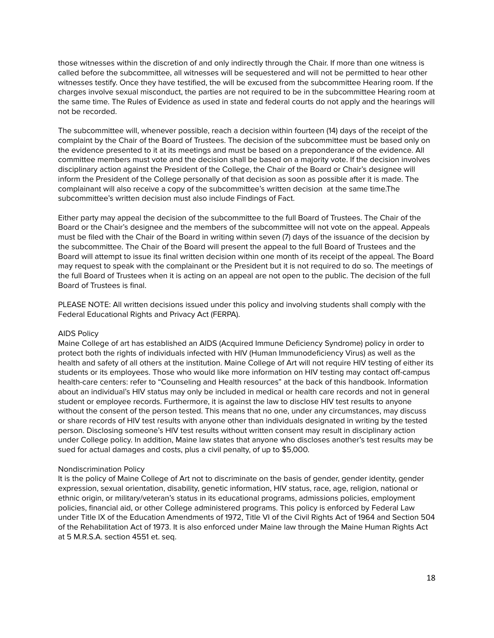those witnesses within the discretion of and only indirectly through the Chair. If more than one witness is called before the subcommittee, all witnesses will be sequestered and will not be permitted to hear other witnesses testify. Once they have testified, the will be excused from the subcommittee Hearing room. If the charges involve sexual misconduct, the parties are not required to be in the subcommittee Hearing room at the same time. The Rules of Evidence as used in state and federal courts do not apply and the hearings will not be recorded.

The subcommittee will, whenever possible, reach a decision within fourteen (14) days of the receipt of the complaint by the Chair of the Board of Trustees. The decision of the subcommittee must be based only on the evidence presented to it at its meetings and must be based on a preponderance of the evidence. All committee members must vote and the decision shall be based on a majority vote. If the decision involves disciplinary action against the President of the College, the Chair of the Board or Chair's designee will inform the President of the College personally of that decision as soon as possible after it is made. The complainant will also receive a copy of the subcommittee's written decision at the same time.The subcommittee's written decision must also include Findings of Fact.

Either party may appeal the decision of the subcommittee to the full Board of Trustees. The Chair of the Board or the Chair's designee and the members of the subcommittee will not vote on the appeal. Appeals must be filed with the Chair of the Board in writing within seven (7) days of the issuance of the decision by the subcommittee. The Chair of the Board will present the appeal to the full Board of Trustees and the Board will attempt to issue its final written decision within one month of its receipt of the appeal. The Board may request to speak with the complainant or the President but it is not required to do so. The meetings of the full Board of Trustees when it is acting on an appeal are not open to the public. The decision of the full Board of Trustees is final.

PLEASE NOTE: All written decisions issued under this policy and involving students shall comply with the Federal Educational Rights and Privacy Act (FERPA).

## AIDS Policy

Maine College of art has established an AIDS (Acquired Immune Deficiency Syndrome) policy in order to protect both the rights of individuals infected with HIV (Human Immunodeficiency Virus) as well as the health and safety of all others at the institution. Maine College of Art will not require HIV testing of either its students or its employees. Those who would like more information on HIV testing may contact off-campus health-care centers: refer to "Counseling and Health resources" at the back of this handbook. Information about an individual's HIV status may only be included in medical or health care records and not in general student or employee records. Furthermore, it is against the law to disclose HIV test results to anyone without the consent of the person tested. This means that no one, under any circumstances, may discuss or share records of HIV test results with anyone other than individuals designated in writing by the tested person. Disclosing someone's HIV test results without written consent may result in disciplinary action under College policy. In addition, Maine law states that anyone who discloses another's test results may be sued for actual damages and costs, plus a civil penalty, of up to \$5,000.

### Nondiscrimination Policy

It is the policy of Maine College of Art not to discriminate on the basis of gender, gender identity, gender expression, sexual orientation, disability, genetic information, HIV status, race, age, religion, national or ethnic origin, or military/veteran's status in its educational programs, admissions policies, employment policies, financial aid, or other College administered programs. This policy is enforced by Federal Law under Title IX of the Education Amendments of 1972, Title VI of the Civil Rights Act of 1964 and Section 504 of the Rehabilitation Act of 1973. It is also enforced under Maine law through the Maine Human Rights Act at 5 M.R.S.A. section 4551 et. seq.